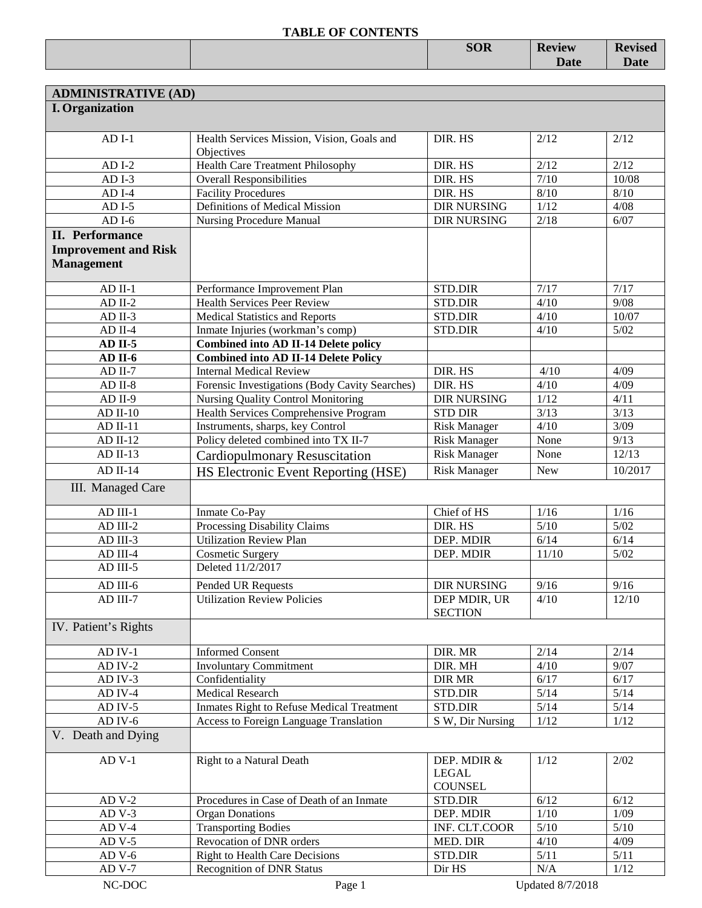|  | <b>SOR</b> | <b>Review</b> | <b>Revised</b> |
|--|------------|---------------|----------------|
|  |            | <b>Date</b>   | <b>Date</b>    |
|  |            |               |                |

| <b>ADMINISTRATIVE (AD)</b>  |                                                          |                                |            |         |
|-----------------------------|----------------------------------------------------------|--------------------------------|------------|---------|
| <b>I.</b> Organization      |                                                          |                                |            |         |
|                             |                                                          |                                |            |         |
| $ADI-1$                     | Health Services Mission, Vision, Goals and<br>Objectives | DIR. HS                        | 2/12       | 2/12    |
| $ADI-2$                     | <b>Health Care Treatment Philosophy</b>                  | DIR. HS                        | 2/12       | 2/12    |
| $ADI-3$                     | <b>Overall Responsibilities</b>                          | DIR. HS                        | 7/10       | 10/08   |
| $ADI-4$                     | <b>Facility Procedures</b>                               | DIR. HS                        | 8/10       | $8/10$  |
| $ADI-5$                     | Definitions of Medical Mission                           | <b>DIR NURSING</b>             | 1/12       | 4/08    |
| $ADI-6$                     | <b>Nursing Procedure Manual</b>                          | <b>DIR NURSING</b>             | 2/18       | 6/07    |
| <b>II.</b> Performance      |                                                          |                                |            |         |
| <b>Improvement and Risk</b> |                                                          |                                |            |         |
| <b>Management</b>           |                                                          |                                |            |         |
|                             |                                                          |                                |            |         |
| $AD$ II-1                   | Performance Improvement Plan                             | STD.DIR                        | 7/17       | 7/17    |
| $AD$ II-2                   | <b>Health Services Peer Review</b>                       | <b>STD.DIR</b>                 | 4/10       | 9/08    |
| $AD$ II-3                   | <b>Medical Statistics and Reports</b>                    | STD.DIR                        | 4/10       | 10/07   |
| $AD$ II-4                   | Inmate Injuries (workman's comp)                         | <b>STD.DIR</b>                 | 4/10       | $5/02$  |
| $AD$ II-5                   | <b>Combined into AD II-14 Delete policy</b>              |                                |            |         |
| AD II-6                     | <b>Combined into AD II-14 Delete Policy</b>              |                                |            |         |
| $AD$ II-7                   | <b>Internal Medical Review</b>                           | DIR. HS                        | 4/10       | 4/09    |
| $AD II-8$                   | Forensic Investigations (Body Cavity Searches)           | DIR. HS                        | 4/10       | 4/09    |
| $AD II-9$                   | Nursing Quality Control Monitoring                       | <b>DIR NURSING</b>             | 1/12       | 4/11    |
| $AD$ II-10                  | <b>Health Services Comprehensive Program</b>             | <b>STD DIR</b>                 | 3/13       | 3/13    |
| $AD II-11$                  | Instruments, sharps, key Control                         | <b>Risk Manager</b>            | 4/10       | 3/09    |
| $AD II-12$                  | Policy deleted combined into TX II-7                     | <b>Risk Manager</b>            | None       | 9/13    |
| $AD II-13$                  | <b>Cardiopulmonary Resuscitation</b>                     | <b>Risk Manager</b>            | None       | 12/13   |
| $AD II-14$                  | HS Electronic Event Reporting (HSE)                      | <b>Risk Manager</b>            | <b>New</b> | 10/2017 |
| III. Managed Care           |                                                          |                                |            |         |
|                             |                                                          |                                |            |         |
| $AD$ III-1                  | Inmate Co-Pay                                            | Chief of HS                    | 1/16       | 1/16    |
| AD III-2                    | Processing Disability Claims                             | DIR. HS                        | 5/10       | $5/02$  |
| AD III-3                    | <b>Utilization Review Plan</b>                           | DEP. MDIR                      | 6/14       | 6/14    |
| AD III-4                    | <b>Cosmetic Surgery</b>                                  | DEP. MDIR                      | 11/10      | $5/02$  |
| AD III-5                    | Deleted 11/2/2017                                        |                                |            |         |
| AD III-6                    | Pended UR Requests                                       | <b>DIR NURSING</b>             | 9/16       | 9/16    |
| AD III-7                    | <b>Utilization Review Policies</b>                       | DEP MDIR, UR                   | 4/10       | 12/10   |
|                             |                                                          | <b>SECTION</b>                 |            |         |
| IV. Patient's Rights        |                                                          |                                |            |         |
|                             |                                                          |                                |            |         |
| $AD$ IV-1                   | <b>Informed Consent</b>                                  | DIR. MR                        | 2/14       | 2/14    |
| $AD IV-2$                   | <b>Involuntary Commitment</b>                            | DIR. MH                        | 4/10       | 9/07    |
| AD IV-3                     | Confidentiality                                          | <b>DIR MR</b>                  | 6/17       | 6/17    |
| AD IV-4                     | <b>Medical Research</b>                                  | STD.DIR                        | $5/14$     | 5/14    |
| $AD$ IV-5                   | Inmates Right to Refuse Medical Treatment                | STD.DIR                        | $5/14$     | $5/14$  |
| $AD$ IV- $6$                | <b>Access to Foreign Language Translation</b>            | S W, Dir Nursing               | 1/12       | 1/12    |
| V. Death and Dying          |                                                          |                                |            |         |
| $AD$ V-1                    | Right to a Natural Death                                 | DEP. MDIR &                    | 1/12       | 2/02    |
|                             |                                                          | <b>LEGAL</b><br><b>COUNSEL</b> |            |         |
| $ADV-2$                     | Procedures in Case of Death of an Inmate                 | STD.DIR                        | 6/12       | 6/12    |
| $ADV-3$                     | <b>Organ Donations</b>                                   | DEP. MDIR                      | 1/10       | 1/09    |
| $ADV-4$                     | <b>Transporting Bodies</b>                               | INF. CLT.COOR                  | 5/10       | $5/10$  |
| $ADV-5$                     | Revocation of DNR orders                                 | MED. DIR                       | 4/10       | 4/09    |
| $ADV-6$                     | <b>Right to Health Care Decisions</b>                    | STD.DIR                        | 5/11       | 5/11    |
| $ADV-7$                     | <b>Recognition of DNR Status</b>                         | Dir HS                         | N/A        | 1/12    |
|                             |                                                          |                                |            |         |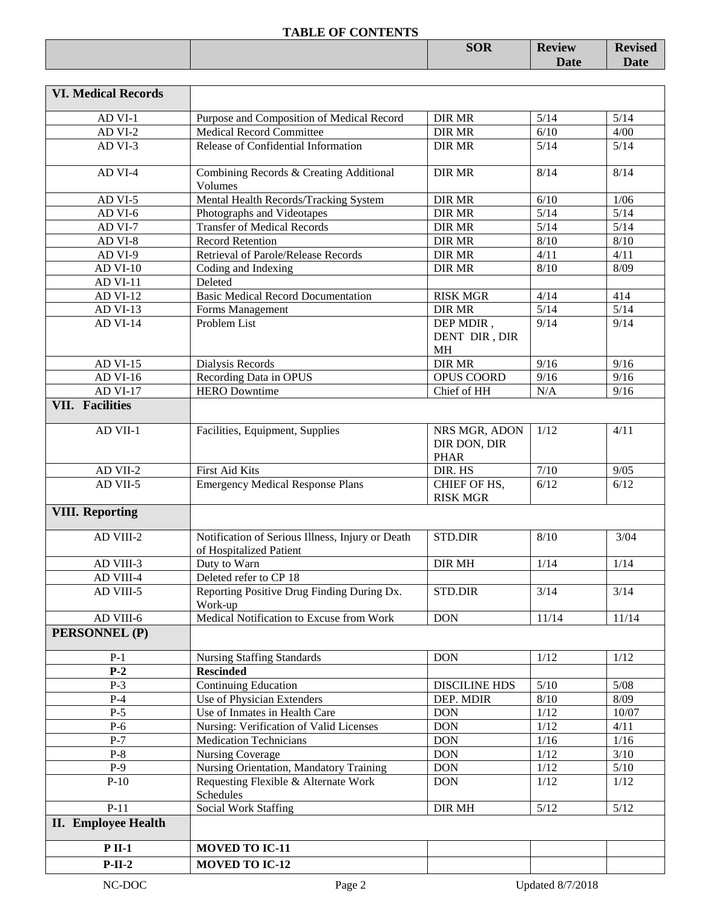|  | <b>SOR</b> | <b>Review</b> | <b>Pevised</b> |
|--|------------|---------------|----------------|
|  |            | <b>Date</b>   | <b>Date</b>    |
|  |            |               |                |

| <b>VI. Medical Records</b> |                                                                             |                                              |                         |        |
|----------------------------|-----------------------------------------------------------------------------|----------------------------------------------|-------------------------|--------|
| AD VI-1                    | Purpose and Composition of Medical Record                                   | <b>DIR MR</b>                                | 5/14                    | 5/14   |
| AD VI-2                    | <b>Medical Record Committee</b>                                             | <b>DIR MR</b>                                | 6/10                    | 4/00   |
| AD VI-3                    | Release of Confidential Information                                         | DIR MR                                       | 5/14                    | $5/14$ |
| AD VI-4                    | Combining Records & Creating Additional<br>Volumes                          | <b>DIR MR</b>                                | 8/14                    | 8/14   |
| AD VI- $\overline{5}$      | Mental Health Records/Tracking System                                       | DIR MR                                       | 6/10                    | 1/06   |
| AD VI-6                    | Photographs and Videotapes                                                  | <b>DIR MR</b>                                | 5/14                    | $5/14$ |
| AD VI-7                    | <b>Transfer of Medical Records</b>                                          | <b>DIR MR</b>                                | 5/14                    | $5/14$ |
| AD VI-8                    | <b>Record Retention</b>                                                     | <b>DIR MR</b>                                | $8/10$                  | 8/10   |
| AD VI-9                    | Retrieval of Parole/Release Records                                         | <b>DIR MR</b>                                | 4/11                    | 4/11   |
| <b>AD VI-10</b>            | Coding and Indexing                                                         | DIR MR                                       | $8/10$                  | 8/09   |
| <b>AD VI-11</b>            | Deleted                                                                     |                                              |                         |        |
| <b>AD VI-12</b>            | <b>Basic Medical Record Documentation</b>                                   | <b>RISK MGR</b>                              | 4/14                    | 414    |
| <b>AD VI-13</b>            | Forms Management<br>Problem List                                            | <b>DIR MR</b>                                | 5/14                    | $5/14$ |
| <b>AD VI-14</b>            |                                                                             | DEP MDIR,<br>DENT DIR, DIR<br><b>MH</b>      | 9/14                    | 9/14   |
| <b>AD VI-15</b>            | Dialysis Records                                                            | DIR MR                                       | 9/16                    | 9/16   |
| AD VI-16                   | Recording Data in OPUS                                                      | OPUS COORD                                   | 9/16                    | 9/16   |
| <b>AD VI-17</b>            | <b>HERO</b> Downtime                                                        | Chief of HH                                  | N/A                     | 9/16   |
| <b>VII.</b> Facilities     |                                                                             |                                              |                         |        |
| AD VII-1                   | Facilities, Equipment, Supplies                                             | NRS MGR, ADON<br>DIR DON, DIR<br><b>PHAR</b> | 1/12                    | 4/11   |
| AD VII-2                   | First Aid Kits                                                              | DIR. HS                                      | $7/10$                  | 9/05   |
| AD VII-5                   | <b>Emergency Medical Response Plans</b>                                     | CHIEF OF HS,<br><b>RISK MGR</b>              | 6/12                    | 6/12   |
| <b>VIII. Reporting</b>     |                                                                             |                                              |                         |        |
| AD VIII-2                  | Notification of Serious Illness, Injury or Death<br>of Hospitalized Patient | <b>STD.DIR</b>                               | 8/10                    | 3/04   |
| $AD$ VIII-3                | Duty to Warn                                                                | <b>DIR MH</b>                                | 1/14                    | 1/14   |
| AD VIII-4                  | Deleted refer to CP 18                                                      |                                              |                         |        |
| AD VIII-5                  | Reporting Positive Drug Finding During Dx.<br>Work-up                       | STD.DIR                                      | 3/14                    | 3/14   |
| AD VIII-6                  | Medical Notification to Excuse from Work                                    | <b>DON</b>                                   | 11/14                   | 11/14  |
| <b>PERSONNEL (P)</b>       |                                                                             |                                              |                         |        |
| $P-1$                      | Nursing Staffing Standards                                                  | <b>DON</b>                                   | 1/12                    | 1/12   |
| $P-2$                      | <b>Rescinded</b>                                                            |                                              |                         |        |
| $P-3$                      | <b>Continuing Education</b>                                                 | <b>DISCILINE HDS</b>                         | 5/10                    | $5/08$ |
| $P-4$                      | Use of Physician Extenders                                                  | DEP. MDIR                                    | $8/10$                  | 8/09   |
| $P-5$                      | Use of Inmates in Health Care                                               | <b>DON</b>                                   | 1/12                    | 10/07  |
| $P-6$                      | Nursing: Verification of Valid Licenses                                     | <b>DON</b>                                   | 1/12                    | 4/11   |
| $P-7$                      | <b>Medication Technicians</b>                                               | <b>DON</b>                                   | 1/16                    | $1/16$ |
| $P-8$                      | <b>Nursing Coverage</b>                                                     | <b>DON</b>                                   | 1/12                    | $3/10$ |
| $P-9$                      | Nursing Orientation, Mandatory Training                                     | <b>DON</b>                                   | $1/12$                  | $5/10$ |
| $P-10$                     | Requesting Flexible & Alternate Work<br>Schedules                           | <b>DON</b>                                   | 1/12                    | 1/12   |
| $P-11$                     | <b>Social Work Staffing</b>                                                 | DIR MH                                       | $5/12$                  | $5/12$ |
| <b>II.</b> Employee Health |                                                                             |                                              |                         |        |
| $P$ II-1                   | <b>MOVED TO IC-11</b>                                                       |                                              |                         |        |
| $P-II-2$                   | <b>MOVED TO IC-12</b>                                                       |                                              |                         |        |
| NC-DOC                     | Page 2                                                                      |                                              | <b>Updated 8/7/2018</b> |        |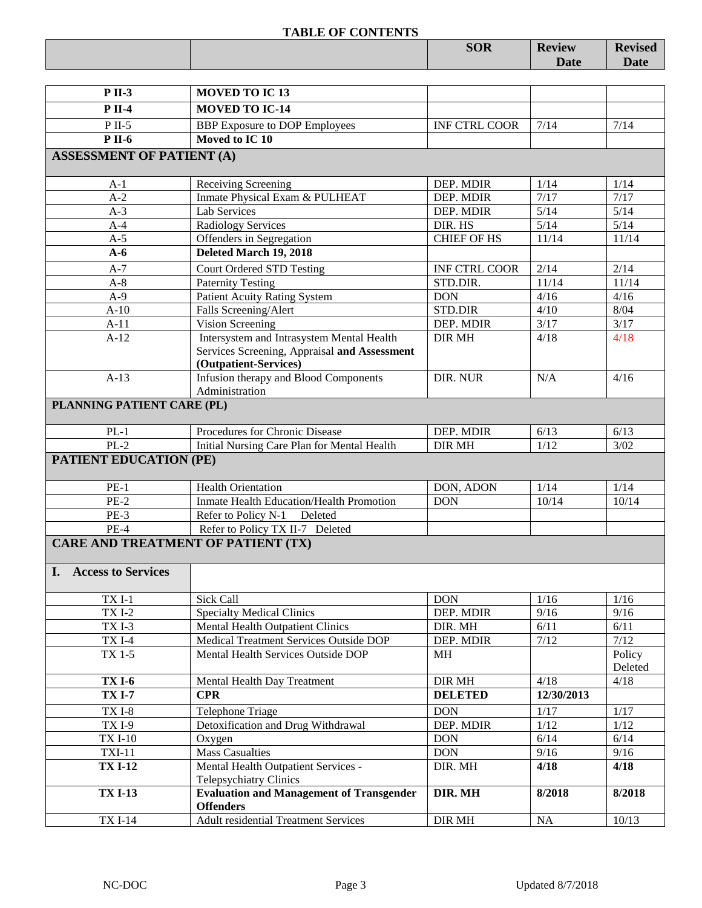|                                  | <b>TABLE OF CONTENTS</b>                               | <b>SOR</b>           | <b>Review</b> | <b>Revised</b> |
|----------------------------------|--------------------------------------------------------|----------------------|---------------|----------------|
|                                  |                                                        |                      | Date          | Date           |
|                                  |                                                        |                      |               |                |
| <b>P</b> II-3                    | <b>MOVED TO IC13</b>                                   |                      |               |                |
| <b>P</b> II-4                    | <b>MOVED TO IC-14</b>                                  |                      |               |                |
|                                  |                                                        |                      |               |                |
| $P$ II-5<br><b>P</b> II-6        | <b>BBP</b> Exposure to DOP Employees<br>Moved to IC 10 | <b>INF CTRL COOR</b> | 7/14          | 7/14           |
|                                  |                                                        |                      |               |                |
| <b>ASSESSMENT OF PATIENT (A)</b> |                                                        |                      |               |                |
| $A-1$                            | Receiving Screening                                    | DEP. MDIR            | 1/14          | 1/14           |
| $A-2$                            | Inmate Physical Exam & PULHEAT                         | DEP. MDIR            | 7/17          | 7/17           |
| $A-3$                            | <b>Lab Services</b>                                    | DEP. MDIR            | 5/14          | 5/14           |
| $A-4$                            | <b>Radiology Services</b>                              | DIR. HS              | 5/14          | 5/14           |
| $A-5$                            | Offenders in Segregation                               | <b>CHIEF OF HS</b>   | 11/14         | 11/14          |
| $A-6$                            | Deleted March 19, 2018                                 |                      |               |                |
| $A-7$                            | <b>Court Ordered STD Testing</b>                       | <b>INF CTRL COOR</b> | 2/14          | 2/14           |
| $A-8$                            | <b>Paternity Testing</b>                               | STD.DIR.             | 11/14         | 11/14          |
| $A-9$                            | <b>Patient Acuity Rating System</b>                    | <b>DON</b>           | 4/16          | 4/16           |
| $A-10$                           | Falls Screening/Alert                                  | <b>STD.DIR</b>       | 4/10          | 8/04           |
| $A-11$                           | Vision Screening                                       | DEP. MDIR            | 3/17          | 3/17           |
| $A-12$                           | Intersystem and Intrasystem Mental Health              | <b>DIR MH</b>        | 4/18          | 4/18           |
|                                  | Services Screening, Appraisal and Assessment           |                      |               |                |
|                                  | (Outpatient-Services)                                  |                      |               |                |
| $A-13$                           | Infusion therapy and Blood Components                  | DIR. NUR             | N/A           | 4/16           |
|                                  | Administration                                         |                      |               |                |
| PLANNING PATIENT CARE (PL)       |                                                        |                      |               |                |
| $PL-1$                           | Procedures for Chronic Disease                         | DEP. MDIR            | 6/13          | 6/13           |
| $PL-2$                           | Initial Nursing Care Plan for Mental Health            | DIR MH               | 1/12          | 3/02           |
| <b>PATIENT EDUCATION (PE)</b>    |                                                        |                      |               |                |
|                                  |                                                        |                      |               |                |
| $PE-1$                           | <b>Health Orientation</b>                              | DON, ADON            | 1/14          | 1/14           |
| $PE-2$                           | Inmate Health Education/Health Promotion               | <b>DON</b>           | 10/14         | 10/14          |
| $PE-3$                           | Refer to Policy N-1<br>Deleted                         |                      |               |                |
| $PE-4$                           | Refer to Policy TX II-7 Deleted                        |                      |               |                |
|                                  | <b>CARE AND TREATMENT OF PATIENT (TX)</b>              |                      |               |                |
|                                  |                                                        |                      |               |                |
| <b>Access to Services</b><br>Ι.  |                                                        |                      |               |                |
| $TXI-1$                          | <b>Sick Call</b>                                       | <b>DON</b>           | 1/16          | 1/16           |
| <b>TXI-2</b>                     | <b>Specialty Medical Clinics</b>                       | DEP. MDIR            | 9/16          | 9/16           |
| <b>TXI-3</b>                     | Mental Health Outpatient Clinics                       | DIR. MH              | 6/11          | 6/11           |
| <b>TXI-4</b>                     | Medical Treatment Services Outside DOP                 | DEP. MDIR            | 7/12          | 7/12           |
| TX 1-5                           | Mental Health Services Outside DOP                     | <b>MH</b>            |               | Policy         |
|                                  |                                                        |                      |               | Deleted        |
| <b>TX I-6</b>                    | Mental Health Day Treatment                            | DIR MH               | 4/18          | 4/18           |
| <b>TX I-7</b>                    | <b>CPR</b>                                             | <b>DELETED</b>       | 12/30/2013    |                |
| TXI-8                            | Telephone Triage                                       | <b>DON</b>           | 1/17          | 1/17           |

**TX I-12** Mental Health Outpatient Services -Telepsychiatry Clinics

**Offenders**

**TX I-13 Evaluation and Management of Transgender** 

TX I-9 Detoxification and Drug Withdrawal DEP. MDIR 1/12 1/12<br>TX I-10 Oxygen DON 6/14 6/14 TX I-10  $\qquad$  Oxygen  $\qquad$  DON  $\qquad$  6/14 6/14 TXI-11 Mass Casualties DON 9/16 9/16

TX I-14 Adult residential Treatment Services DIR MH NA 10/13

DIR. MH **4/18 4/18**

**DIR. MH 8/2018 8/2018**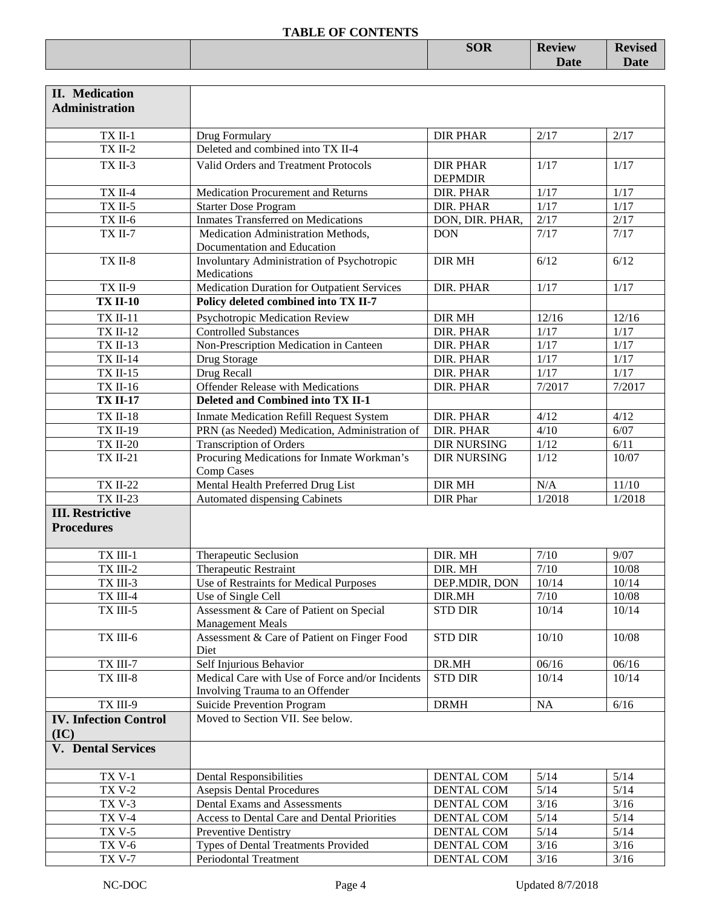|  | $C\Omega$<br><b>DOIT</b> | <b>Peview</b> | 7000 |
|--|--------------------------|---------------|------|
|  |                          | Date          | valc |
|  |                          |               |      |

| <b>II.</b> Medication<br><b>Administration</b> |                                                                                    |                                   |                   |         |
|------------------------------------------------|------------------------------------------------------------------------------------|-----------------------------------|-------------------|---------|
| TX II-1                                        | Drug Formulary                                                                     | <b>DIR PHAR</b>                   | 2/17              | 2/17    |
| $TX$ II-2                                      | Deleted and combined into TX II-4                                                  |                                   |                   |         |
| TX II-3                                        | Valid Orders and Treatment Protocols                                               | <b>DIR PHAR</b><br><b>DEPMDIR</b> | 1/17              | 1/17    |
| $TX$ II-4                                      | Medication Procurement and Returns                                                 | DIR. PHAR                         | 1/17              | 1/17    |
| <b>TX II-5</b>                                 | <b>Starter Dose Program</b>                                                        | DIR. PHAR                         | $1/17$            | 1/17    |
| TX II-6                                        | <b>Inmates Transferred on Medications</b>                                          | DON, DIR. PHAR,                   | 2/17              | 2/17    |
| <b>TX II-7</b>                                 | Medication Administration Methods,<br>Documentation and Education                  | <b>DON</b>                        | 7/17              | 7/17    |
| TX II-8                                        | Involuntary Administration of Psychotropic<br>Medications                          | <b>DIR MH</b>                     | 6/12              | 6/12    |
| <b>TX II-9</b>                                 | Medication Duration for Outpatient Services                                        | DIR. PHAR                         | 1/17              | 1/17    |
| <b>TX II-10</b>                                | Policy deleted combined into TX II-7                                               |                                   |                   |         |
| <b>TX II-11</b>                                | Psychotropic Medication Review                                                     | <b>DIR MH</b>                     | 12/16             | 12/16   |
| <b>TX II-12</b>                                | <b>Controlled Substances</b>                                                       | <b>DIR. PHAR</b>                  | $1/17$            | $1/17$  |
| <b>TX II-13</b>                                | Non-Prescription Medication in Canteen                                             | DIR. PHAR                         | $1/17$            | $1/17$  |
| <b>TX II-14</b>                                | Drug Storage                                                                       | DIR. PHAR                         | $1/17$            | $1/17$  |
| <b>TX II-15</b>                                | Drug Recall                                                                        | DIR. PHAR                         | $\overline{1/17}$ | 1/17    |
| <b>TX II-16</b>                                | <b>Offender Release with Medications</b>                                           | DIR. PHAR                         | 7/2017            | 7/2017  |
| <b>TX II-17</b>                                | Deleted and Combined into TX II-1                                                  |                                   |                   |         |
| <b>TX II-18</b>                                | <b>Inmate Medication Refill Request System</b>                                     | DIR. PHAR                         | 4/12              | 4/12    |
| <b>TX II-19</b>                                | PRN (as Needed) Medication, Administration of                                      | DIR. PHAR                         | 4/10              | 6/07    |
| <b>TX II-20</b>                                | <b>Transcription of Orders</b>                                                     | <b>DIR NURSING</b>                | $1/12$            | 6/11    |
| <b>TX II-21</b>                                | Procuring Medications for Inmate Workman's<br>Comp Cases                           | <b>DIR NURSING</b>                | 1/12              | 10/07   |
| <b>TX II-22</b>                                | Mental Health Preferred Drug List                                                  | DIR MH                            | N/A               | $11/10$ |
| <b>TX II-23</b>                                | Automated dispensing Cabinets                                                      | DIR Phar                          | 1/2018            | 1/2018  |
| <b>III. Restrictive</b><br><b>Procedures</b>   |                                                                                    |                                   |                   |         |
| TX III-1                                       | Therapeutic Seclusion                                                              | DIR. MH                           | $7/10$            | 9/07    |
| TX III-2                                       | Therapeutic Restraint                                                              | DIR. MH                           | 7/10              | 10/08   |
| TX III-3                                       | Use of Restraints for Medical Purposes                                             | DEP.MDIR, DON                     | 10/14             | 10/14   |
| TX III-4                                       | Use of Single Cell                                                                 | DIR.MH                            | $7/10$            | 10/08   |
| TX III-5                                       | Assessment & Care of Patient on Special<br><b>Management Meals</b>                 | <b>STD DIR</b>                    | 10/14             | 10/14   |
| TX III-6                                       | Assessment & Care of Patient on Finger Food<br>Diet                                | <b>STD DIR</b>                    | 10/10             | 10/08   |
| TX III-7                                       | Self Injurious Behavior                                                            | DR.MH                             | 06/16             | 06/16   |
| TX III-8                                       | Medical Care with Use of Force and/or Incidents<br>Involving Trauma to an Offender | <b>STD DIR</b>                    | 10/14             | 10/14   |
| TX III-9                                       | Suicide Prevention Program                                                         | <b>DRMH</b>                       | NA                | $6/16$  |
| <b>IV. Infection Control</b><br>(IC)           | Moved to Section VII. See below.                                                   |                                   |                   |         |
| <b>V.</b> Dental Services                      |                                                                                    |                                   |                   |         |
| <b>TX V-1</b>                                  | <b>Dental Responsibilities</b>                                                     | DENTAL COM                        | 5/14              | $5/14$  |
| <b>TX V-2</b>                                  | <b>Asepsis Dental Procedures</b>                                                   | DENTAL COM                        | $5/14$            | $5/14$  |
| <b>TX V-3</b>                                  | Dental Exams and Assessments                                                       | DENTAL COM                        | $3/16$            | $3/16$  |
| <b>TX V-4</b>                                  | Access to Dental Care and Dental Priorities                                        | DENTAL COM                        | $5/14$            | $5/14$  |
| <b>TX V-5</b>                                  | Preventive Dentistry                                                               | DENTAL COM                        | $5/14$            | $5/14$  |
| <b>TX V-6</b>                                  | Types of Dental Treatments Provided                                                | DENTAL COM                        | $3/16$            | $3/16$  |
| <b>TX V-7</b>                                  | Periodontal Treatment                                                              | <b>DENTAL COM</b>                 | $3/16$            | $3/16$  |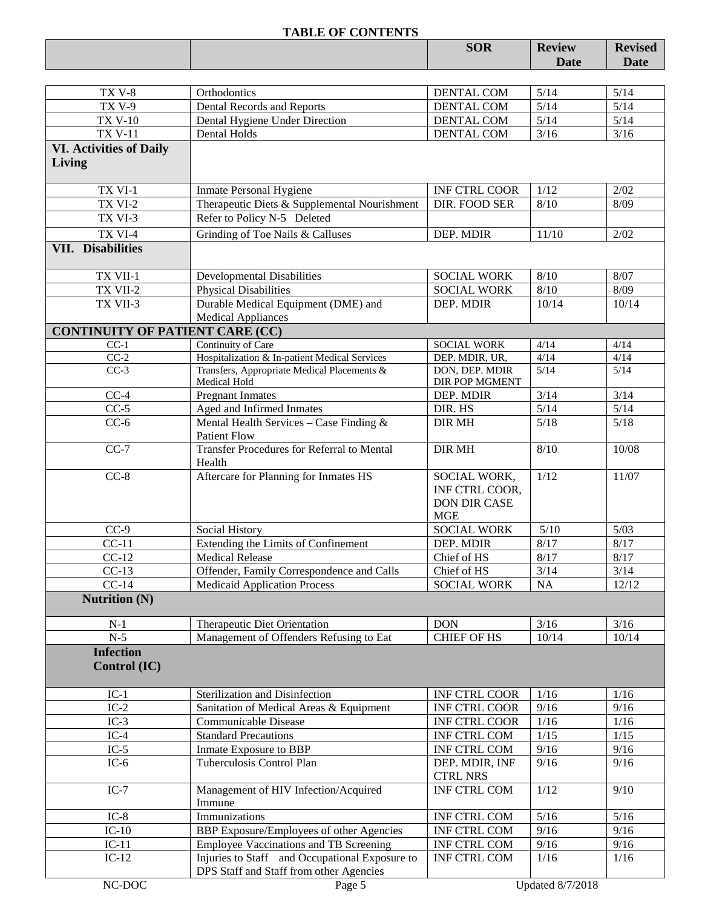|                                        |                                                                                              | <b>SOR</b>                             | <b>Review</b>  | <b>Revised</b> |
|----------------------------------------|----------------------------------------------------------------------------------------------|----------------------------------------|----------------|----------------|
|                                        |                                                                                              |                                        | <b>Date</b>    | <b>Date</b>    |
|                                        |                                                                                              |                                        |                |                |
| TX V-8                                 | Orthodontics                                                                                 | DENTAL COM                             | 5/14           | $5/14$         |
| <b>TX V-9</b>                          | Dental Records and Reports                                                                   | DENTAL COM                             | 5/14           | $5/14$         |
| <b>TX V-10</b>                         | Dental Hygiene Under Direction                                                               | DENTAL COM                             | $5/14$         | $5/14$         |
| <b>TX V-11</b>                         | Dental Holds                                                                                 | DENTAL COM                             | $3/16$         | $3/16$         |
| <b>VI. Activities of Daily</b>         |                                                                                              |                                        |                |                |
| Living                                 |                                                                                              |                                        |                |                |
| TX VI-1                                | <b>Inmate Personal Hygiene</b>                                                               | INF CTRL COOR                          | 1/12           | 2/02           |
| TX VI-2                                | Therapeutic Diets & Supplemental Nourishment                                                 | DIR. FOOD SER                          | 8/10           | 8/09           |
| TX VI-3                                | Refer to Policy N-5 Deleted                                                                  |                                        |                |                |
| TX VI-4                                | Grinding of Toe Nails & Calluses                                                             | DEP. MDIR                              | 11/10          | 2/02           |
| <b>VII.</b> Disabilities               |                                                                                              |                                        |                |                |
|                                        |                                                                                              |                                        |                |                |
| TX VII-1                               | <b>Developmental Disabilities</b>                                                            | <b>SOCIAL WORK</b>                     | $8/10$         | 8/07           |
| TX VII-2                               | <b>Physical Disabilities</b>                                                                 | <b>SOCIAL WORK</b>                     | 8/10           | 8/09           |
| TX VII-3                               | Durable Medical Equipment (DME) and                                                          | DEP. MDIR                              | 10/14          | 10/14          |
|                                        | <b>Medical Appliances</b>                                                                    |                                        |                |                |
| <b>CONTINUITY OF PATIENT CARE (CC)</b> |                                                                                              |                                        |                |                |
| $CC-1$                                 | Continuity of Care                                                                           | <b>SOCIAL WORK</b>                     | 4/14           | 4/14           |
| $CC-2$<br>$CC-3$                       | Hospitalization & In-patient Medical Services<br>Transfers, Appropriate Medical Placements & | DEP. MDIR, UR,<br>DON, DEP. MDIR       | 4/14<br>$5/14$ | 4/14<br>5/14   |
|                                        | Medical Hold                                                                                 | DIR POP MGMENT                         |                |                |
| $CC-4$                                 | <b>Pregnant Inmates</b>                                                                      | DEP. MDIR                              | $3/14$         | 3/14           |
| $CC-5$                                 | Aged and Infirmed Inmates                                                                    | DIR. HS                                | $5/14$         | $5/14$         |
| $CC-6$                                 | Mental Health Services - Case Finding &                                                      | <b>DIR MH</b>                          | 5/18           | $5/18$         |
|                                        | <b>Patient Flow</b>                                                                          |                                        |                |                |
| $CC-7$                                 | <b>Transfer Procedures for Referral to Mental</b>                                            | <b>DIR MH</b>                          | 8/10           | 10/08          |
|                                        | Health                                                                                       |                                        |                |                |
| $CC-8$                                 | Aftercare for Planning for Inmates HS                                                        | SOCIAL WORK,<br>INF CTRL COOR,         | 1/12           | 11/07          |
|                                        |                                                                                              | DON DIR CASE                           |                |                |
|                                        |                                                                                              | <b>MGE</b>                             |                |                |
| $CC-9$                                 | Social History                                                                               | <b>SOCIAL WORK</b>                     | $5/10$         | 5/03           |
| $CC-11$                                | Extending the Limits of Confinement                                                          | DEP. MDIR                              | 8/17           | 8/17           |
| $CC-12$                                | <b>Medical Release</b>                                                                       | Chief of HS                            | 8/17           | 8/17           |
| $CC-13$                                | Offender, Family Correspondence and Calls                                                    | Chief of HS                            | 3/14           | 3/14           |
| $CC-14$                                | <b>Medicaid Application Process</b>                                                          | <b>SOCIAL WORK</b>                     | NA             | 12/12          |
| <b>Nutrition (N)</b>                   |                                                                                              |                                        |                |                |
| $N-1$                                  | Therapeutic Diet Orientation                                                                 | <b>DON</b>                             | 3/16           | $3/16$         |
| $N-5$                                  | Management of Offenders Refusing to Eat                                                      | <b>CHIEF OF HS</b>                     | 10/14          | 10/14          |
| <b>Infection</b>                       |                                                                                              |                                        |                |                |
| Control (IC)                           |                                                                                              |                                        |                |                |
|                                        |                                                                                              |                                        |                |                |
| $IC-1$                                 | Sterilization and Disinfection                                                               | <b>INF CTRL COOR</b>                   | 1/16           | 1/16           |
| $IC-2$                                 | Sanitation of Medical Areas & Equipment                                                      | <b>INF CTRL COOR</b>                   | 9/16           | 9/16           |
| $IC-3$                                 | Communicable Disease                                                                         | INF CTRL COOR                          | 1/16           | $1/16$         |
| $IC-4$                                 | <b>Standard Precautions</b>                                                                  | INF CTRL COM                           | 1/15           | $1/15$         |
| $IC-5$                                 | Inmate Exposure to BBP                                                                       | INF CTRL COM                           | 9/16           | 9/16           |
| $IC-6$                                 | Tuberculosis Control Plan                                                                    | DEP. MDIR, INF                         | 9/16           | 9/16           |
| $IC-7$                                 | Management of HIV Infection/Acquired                                                         | <b>CTRL NRS</b><br><b>INF CTRL COM</b> | 1/12           | 9/10           |
|                                        | Immune                                                                                       |                                        |                |                |
| $IC-8$                                 | Immunizations                                                                                | INF CTRL COM                           | 5/16           | 5/16           |
| $IC-10$                                | BBP Exposure/Employees of other Agencies                                                     | INF CTRL COM                           | 9/16           | 9/16           |
| $IC-11$                                | Employee Vaccinations and TB Screening                                                       | INF CTRL COM                           | 9/16           | 9/16           |
| $IC-12$                                | Injuries to Staff and Occupational Exposure to                                               | INF CTRL COM                           | 1/16           | 1/16           |
|                                        | DPS Staff and Staff from other Agencies                                                      |                                        |                |                |